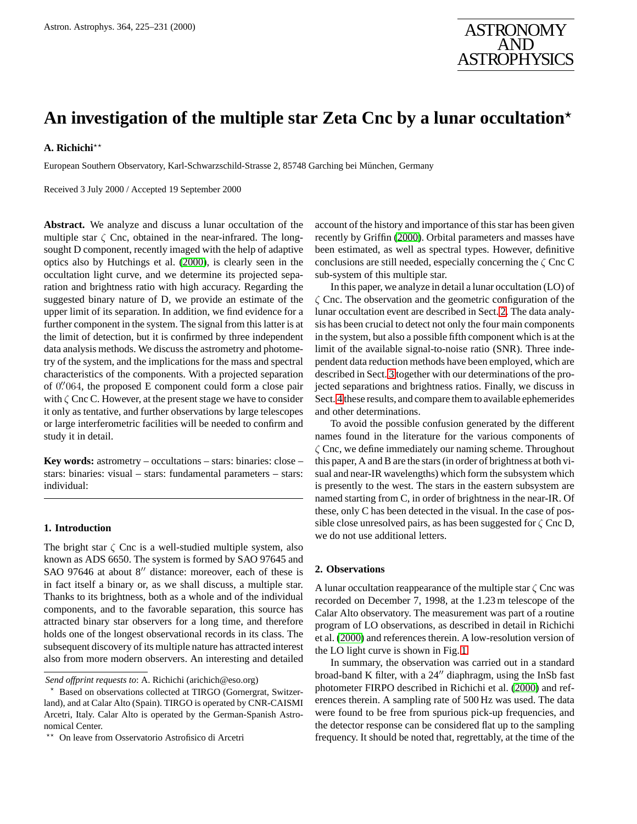# <span id="page-0-0"></span>**An investigation of the multiple star Zeta Cnc by a lunar occultation**?

## A. Richichi<sup>\*\*</sup>

European Southern Observatory, Karl-Schwarzschild-Strasse 2, 85748 Garching bei München, Germany

Received 3 July 2000 / Accepted 19 September 2000

**Abstract.** We analyze and discuss a lunar occultation of the multiple star  $\zeta$  Cnc, obtained in the near-infrared. The longsought D component, recently imaged with the help of adaptive optics also by Hutchings et al. [\(2000\)](#page-6-0), is clearly seen in the occultation light curve, and we determine its projected separation and brightness ratio with high accuracy. Regarding the suggested binary nature of D, we provide an estimate of the upper limit of its separation. In addition, we find evidence for a further component in the system. The signal from this latter is at the limit of detection, but it is confirmed by three independent data analysis methods. We discuss the astrometry and photometry of the system, and the implications for the mass and spectral characteristics of the components. With a projected separation of 0."064, the proposed E component could form a close pair with  $\zeta$  Cnc C. However, at the present stage we have to consider it only as tentative, and further observations by large telescopes or large interferometric facilities will be needed to confirm and study it in detail.

**Key words:** astrometry – occultations – stars: binaries: close – stars: binaries: visual – stars: fundamental parameters – stars: individual:

### **1. Introduction**

The bright star  $\zeta$  Cnc is a well-studied multiple system, also known as ADS 6650. The system is formed by SAO 97645 and SAO 97646 at about  $8''$  distance: moreover, each of these is in fact itself a binary or, as we shall discuss, a multiple star. Thanks to its brightness, both as a whole and of the individual components, and to the favorable separation, this source has attracted binary star observers for a long time, and therefore holds one of the longest observational records in its class. The subsequent discovery of its multiple nature has attracted interest also from more modern observers. An interesting and detailed

account of the history and importance of this star has been given recently by Griffin [\(2000\)](#page-6-0). Orbital parameters and masses have been estimated, as well as spectral types. However, definitive conclusions are still needed, especially concerning the  $\zeta$  Cnc C sub-system of this multiple star.

AND ASTROPHYSICS

In this paper, we analyze in detail a lunar occultation (LO) of  $\zeta$  Cnc. The observation and the geometric configuration of the lunar occultation event are described in Sect. 2. The data analysis has been crucial to detect not only the four main components in the system, but also a possible fifth component which is at the limit of the available signal-to-noise ratio (SNR). Three independent data reduction methods have been employed, which are described in Sect. [3](#page-1-0) together with our determinations of the projected separations and brightness ratios. Finally, we discuss in Sect. [4](#page-3-0) these results, and compare them to available ephemerides and other determinations.

To avoid the possible confusion generated by the different names found in the literature for the various components of ζ Cnc, we define immediately our naming scheme. Throughout this paper, A and B are the stars (in order of brightness at both visual and near-IR wavelengths) which form the subsystem which is presently to the west. The stars in the eastern subsystem are named starting from C, in order of brightness in the near-IR. Of these, only C has been detected in the visual. In the case of possible close unresolved pairs, as has been suggested for  $\zeta$  Cnc D, we do not use additional letters.

## **2. Observations**

A lunar occultation reappearance of the multiple star  $\zeta$  Cnc was recorded on December 7, 1998, at the 1.23 m telescope of the Calar Alto observatory. The measurement was part of a routine program of LO observations, as described in detail in Richichi et al. [\(2000\)](#page-6-0) and references therein. A low-resolution version of the LO light curve is shown in Fig. [1.](#page-1-0)

In summary, the observation was carried out in a standard broad-band K filter, with a 24" diaphragm, using the InSb fast photometer FIRPO described in Richichi et al. [\(2000\)](#page-6-0) and references therein. A sampling rate of 500 Hz was used. The data were found to be free from spurious pick-up frequencies, and the detector response can be considered flat up to the sampling frequency. It should be noted that, regrettably, at the time of the

*Send offprint requests to*: A. Richichi (arichich@eso.org)

<sup>?</sup> Based on observations collected at TIRGO (Gornergrat, Switzerland), and at Calar Alto (Spain). TIRGO is operated by CNR-CAISMI Arcetri, Italy. Calar Alto is operated by the German-Spanish Astronomical Center.

<sup>??</sup> On leave from Osservatorio Astrofisico di Arcetri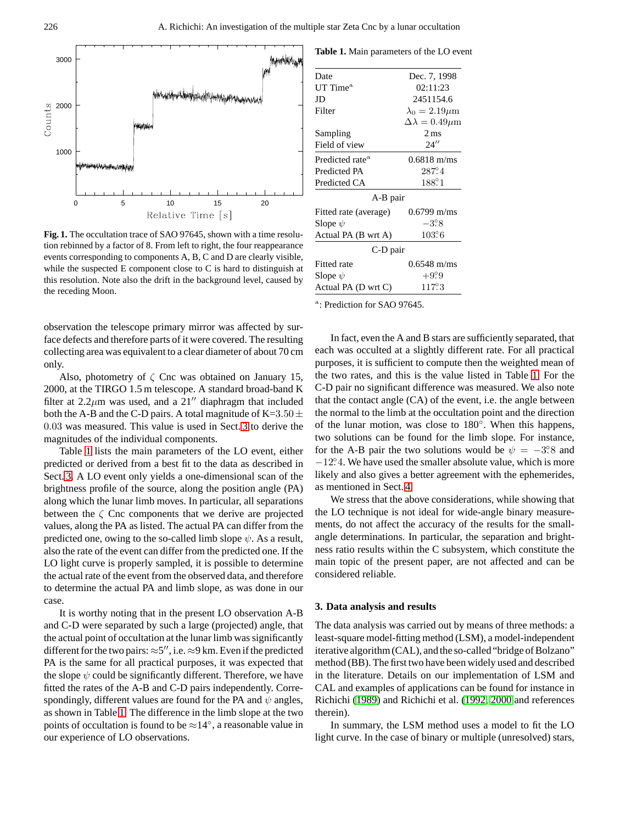<span id="page-1-0"></span>

**Fig. 1.** The occultation trace of SAO 97645, shown with a time resolution rebinned by a factor of 8. From left to right, the four reappearance events corresponding to components A, B, C and D are clearly visible, while the suspected E component close to C is hard to distinguish at this resolution. Note also the drift in the background level, caused by the receding Moon.

observation the telescope primary mirror was affected by surface defects and therefore parts of it were covered. The resulting collecting area was equivalent to a clear diameter of about 70 cm only.

Also, photometry of  $\zeta$  Cnc was obtained on January 15, 2000, at the TIRGO 1.5 m telescope. A standard broad-band K filter at  $2.2\mu$ m was used, and a  $21''$  diaphragm that included both the A-B and the C-D pairs. A total magnitude of K=3.50  $\pm$ 0.03 was measured. This value is used in Sect. 3 to derive the magnitudes of the individual components.

Table 1 lists the main parameters of the LO event, either predicted or derived from a best fit to the data as described in Sect. 3. A LO event only yields a one-dimensional scan of the brightness profile of the source, along the position angle (PA) along which the lunar limb moves. In particular, all separations between the  $\zeta$  Cnc components that we derive are projected values, along the PA as listed. The actual PA can differ from the predicted one, owing to the so-called limb slope  $\psi$ . As a result, also the rate of the event can differ from the predicted one. If the LO light curve is properly sampled, it is possible to determine the actual rate of the event from the observed data, and therefore to determine the actual PA and limb slope, as was done in our case.

It is worthy noting that in the present LO observation A-B and C-D were separated by such a large (projected) angle, that the actual point of occultation at the lunar limb was significantly different for the two pairs:  $\approx 5''$ , i.e.  $\approx 9$  km. Even if the predicted PA is the same for all practical purposes, it was expected that the slope  $\psi$  could be significantly different. Therefore, we have fitted the rates of the A-B and C-D pairs independently. Correspondingly, different values are found for the PA and  $\psi$  angles, as shown in Table 1. The difference in the limb slope at the two points of occultation is found to be  $\approx 14^\circ$ , a reasonable value in our experience of LO observations.

**Table 1.** Main parameters of the LO event

| Date                        | Dec. 7, 1998                 |  |  |  |  |
|-----------------------------|------------------------------|--|--|--|--|
| UT Time $^{\rm a}$          | 02:11:23                     |  |  |  |  |
| JD                          | 2451154.6                    |  |  |  |  |
| Filter                      | $\lambda_0 = 2.19 \mu m$     |  |  |  |  |
|                             | $\Delta\lambda = 0.49 \mu m$ |  |  |  |  |
| Sampling                    | $2 \,\mathrm{ms}$            |  |  |  |  |
| Field of view               | 24''                         |  |  |  |  |
| Predicted rate <sup>a</sup> | $0.6818 \text{ m/ms}$        |  |  |  |  |
| Predicted PA                | 287°4                        |  |  |  |  |
| Predicted CA                | 188°1                        |  |  |  |  |
| A-B pair                    |                              |  |  |  |  |
| Fitted rate (average)       | $0.6799 \text{ m/ms}$        |  |  |  |  |
| Slope $\psi$                | $-3.8$                       |  |  |  |  |
| Actual PA (B wrt A)         | 103.6                        |  |  |  |  |
| C-D pair                    |                              |  |  |  |  |
| Fitted rate                 | $0.6548 \text{ m/ms}$        |  |  |  |  |
| Slope $\psi$                | $+9.9^{\circ}$               |  |  |  |  |
| Actual PA (D wrt C)         | 117°3                        |  |  |  |  |
|                             |                              |  |  |  |  |

<sup>a</sup>: Prediction for SAO 97645.

In fact, even the A and B stars are sufficiently separated, that each was occulted at a slightly different rate. For all practical purposes, it is sufficient to compute then the weighted mean of the two rates, and this is the value listed in Table 1. For the C-D pair no significant difference was measured. We also note that the contact angle (CA) of the event, i.e. the angle between the normal to the limb at the occultation point and the direction of the lunar motion, was close to  $180^\circ$ . When this happens, two solutions can be found for the limb slope. For instance, for the A-B pair the two solutions would be  $\psi = -3.8$  and −12. ◦4. We have used the smaller absolute value, which is more likely and also gives a better agreement with the ephemerides, as mentioned in Sect. [4.](#page-3-0)

We stress that the above considerations, while showing that the LO technique is not ideal for wide-angle binary measurements, do not affect the accuracy of the results for the smallangle determinations. In particular, the separation and brightness ratio results within the C subsystem, which constitute the main topic of the present paper, are not affected and can be considered reliable.

# **3. Data analysis and results**

The data analysis was carried out by means of three methods: a least-square model-fitting method (LSM), a model-independent iterative algorithm (CAL), and the so-called "bridge of Bolzano" method (BB). The first two have been widely used and described in the literature. Details on our implementation of LSM and CAL and examples of applications can be found for instance in Richichi [\(1989\)](#page-6-0) and Richichi et al. [\(1992, 2000](#page-6-0) and references therein).

In summary, the LSM method uses a model to fit the LO light curve. In the case of binary or multiple (unresolved) stars,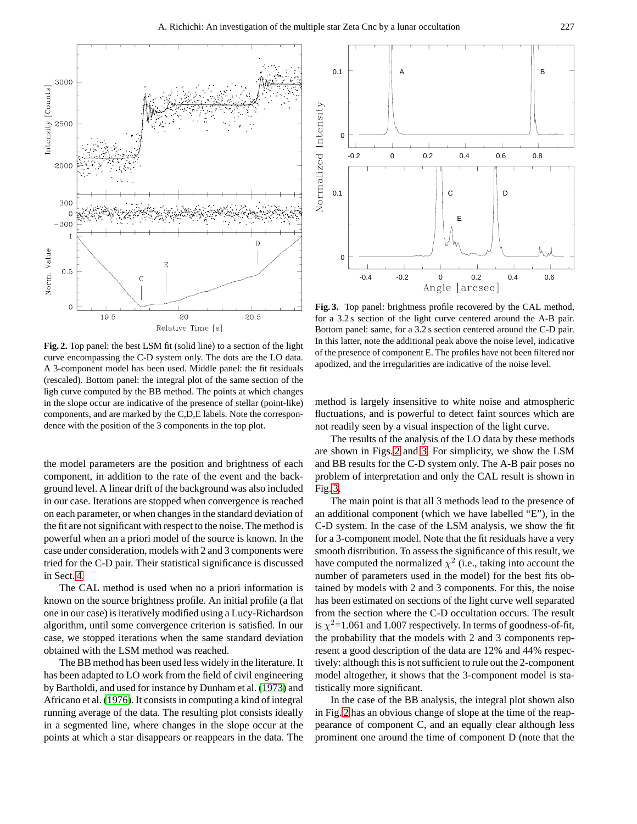<span id="page-2-0"></span>

**Fig. 2.** Top panel: the best LSM fit (solid line) to a section of the light curve encompassing the C-D system only. The dots are the LO data. A 3-component model has been used. Middle panel: the fit residuals (rescaled). Bottom panel: the integral plot of the same section of the ligh curve computed by the BB method. The points at which changes in the slope occur are indicative of the presence of stellar (point-like) components, and are marked by the C,D,E labels. Note the correspondence with the position of the 3 components in the top plot.

the model parameters are the position and brightness of each component, in addition to the rate of the event and the background level. A linear drift of the background was also included in our case. Iterations are stopped when convergence is reached on each parameter, or when changes in the standard deviation of the fit are not significant with respect to the noise. The method is powerful when an a priori model of the source is known. In the case under consideration, models with 2 and 3 components were tried for the C-D pair. Their statistical significance is discussed in Sect. [4.](#page-3-0)

The CAL method is used when no a priori information is known on the source brightness profile. An initial profile (a flat one in our case) is iteratively modified using a Lucy-Richardson algorithm, until some convergence criterion is satisfied. In our case, we stopped iterations when the same standard deviation obtained with the LSM method was reached.

The BB method has been used less widely in the literature. It has been adapted to LO work from the field of civil engineering by Bartholdi, and used for instance by Dunham et al. [\(1973\)](#page-5-0) and Africano et al. [\(1976\)](#page-5-0). It consists in computing a kind of integral running average of the data. The resulting plot consists ideally in a segmented line, where changes in the slope occur at the points at which a star disappears or reappears in the data. The



**Fig. 3.** Top panel: brightness profile recovered by the CAL method, for a 3.2 s section of the light curve centered around the A-B pair. Bottom panel: same, for a 3.2 s section centered around the C-D pair. In this latter, note the additional peak above the noise level, indicative of the presence of component E. The profiles have not been filtered nor apodized, and the irregularities are indicative of the noise level.

method is largely insensitive to white noise and atmospheric fluctuations, and is powerful to detect faint sources which are not readily seen by a visual inspection of the light curve.

The results of the analysis of the LO data by these methods are shown in Figs. 2 and 3. For simplicity, we show the LSM and BB results for the C-D system only. The A-B pair poses no problem of interpretation and only the CAL result is shown in Fig. 3.

The main point is that all 3 methods lead to the presence of an additional component (which we have labelled "E"), in the C-D system. In the case of the LSM analysis, we show the fit for a 3-component model. Note that the fit residuals have a very smooth distribution. To assess the significance of this result, we have computed the normalized  $\chi^2$  (i.e., taking into account the number of parameters used in the model) for the best fits obtained by models with 2 and 3 components. For this, the noise has been estimated on sections of the light curve well separated from the section where the C-D occultation occurs. The result is  $\chi^2$ =1.061 and 1.007 respectively. In terms of goodness-of-fit, the probability that the models with 2 and 3 components represent a good description of the data are 12% and 44% respectively: although this is not sufficient to rule out the 2-component model altogether, it shows that the 3-component model is statistically more significant.

In the case of the BB analysis, the integral plot shown also in Fig. 2 has an obvious change of slope at the time of the reappearance of component C, and an equally clear although less prominent one around the time of component D (note that the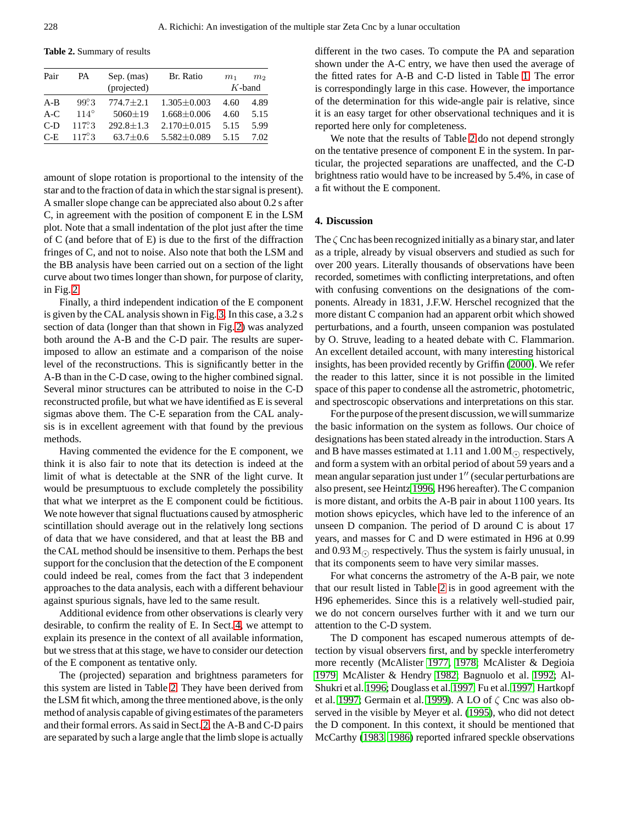<span id="page-3-0"></span>**Table 2.** Summary of results

| Pair    | PA.            | Sep. (mas)    | Br. Ratio         | m <sub>1</sub> | m <sub>2</sub> |
|---------|----------------|---------------|-------------------|----------------|----------------|
|         |                | (projected)   |                   | $K$ -band      |                |
| $A - B$ | $99^\circ.3$   | $774.7 + 2.1$ | $1.305 \pm 0.003$ | 4.60           | 4.89           |
| $A-C$   | $114^\circ$    | $5060+19$     | $1.668 + 0.006$   | 4.60           | 5.15           |
| $C-D$   | $117^{\circ}3$ | $292.8 + 1.3$ | $2.170 + 0.015$   | 5.15           | 5.99           |
| $C-F$   | $117^{\circ}3$ | $63.7 + 0.6$  | $5.582 \pm 0.089$ | 5.15           | 7.02           |

amount of slope rotation is proportional to the intensity of the star and to the fraction of data in which the star signal is present). A smaller slope change can be appreciated also about 0.2 s after C, in agreement with the position of component E in the LSM plot. Note that a small indentation of the plot just after the time of C (and before that of E) is due to the first of the diffraction fringes of C, and not to noise. Also note that both the LSM and the BB analysis have been carried out on a section of the light curve about two times longer than shown, for purpose of clarity, in Fig. [2.](#page-2-0)

Finally, a third independent indication of the E component is given by the CAL analysis shown in Fig. [3.](#page-2-0) In this case, a 3.2 s section of data (longer than that shown in Fig. [2\)](#page-2-0) was analyzed both around the A-B and the C-D pair. The results are superimposed to allow an estimate and a comparison of the noise level of the reconstructions. This is significantly better in the A-B than in the C-D case, owing to the higher combined signal. Several minor structures can be attributed to noise in the C-D reconstructed profile, but what we have identified as E is several sigmas above them. The C-E separation from the CAL analysis is in excellent agreement with that found by the previous methods.

Having commented the evidence for the E component, we think it is also fair to note that its detection is indeed at the limit of what is detectable at the SNR of the light curve. It would be presumptuous to exclude completely the possibility that what we interpret as the E component could be fictitious. We note however that signal fluctuations caused by atmospheric scintillation should average out in the relatively long sections of data that we have considered, and that at least the BB and the CAL method should be insensitive to them. Perhaps the best support for the conclusion that the detection of the E component could indeed be real, comes from the fact that 3 independent approaches to the data analysis, each with a different behaviour against spurious signals, have led to the same result.

Additional evidence from other observations is clearly very desirable, to confirm the reality of E. In Sect. 4, we attempt to explain its presence in the context of all available information, but we stress that at this stage, we have to consider our detection of the E component as tentative only.

The (projected) separation and brightness parameters for this system are listed in Table 2. They have been derived from the LSM fit which, among the three mentioned above, is the only method of analysis capable of giving estimates of the parameters and their formal errors. As said in Sect. [2,](#page-0-0) the A-B and C-D pairs are separated by such a large angle that the limb slope is actually different in the two cases. To compute the PA and separation shown under the A-C entry, we have then used the average of the fitted rates for A-B and C-D listed in Table [1.](#page-1-0) The error is correspondingly large in this case. However, the importance of the determination for this wide-angle pair is relative, since it is an easy target for other observational techniques and it is reported here only for completeness.

We note that the results of Table 2 do not depend strongly on the tentative presence of component E in the system. In particular, the projected separations are unaffected, and the C-D brightness ratio would have to be increased by 5.4%, in case of a fit without the E component.

#### **4. Discussion**

The  $\zeta$  Cnc has been recognized initially as a binary star, and later as a triple, already by visual observers and studied as such for over 200 years. Literally thousands of observations have been recorded, sometimes with conflicting interpretations, and often with confusing conventions on the designations of the components. Already in 1831, J.F.W. Herschel recognized that the more distant C companion had an apparent orbit which showed perturbations, and a fourth, unseen companion was postulated by O. Struve, leading to a heated debate with C. Flammarion. An excellent detailed account, with many interesting historical insights, has been provided recently by Griffin [\(2000\)](#page-6-0). We refer the reader to this latter, since it is not possible in the limited space of this paper to condense all the astrometric, photometric, and spectroscopic observations and interpretations on this star.

For the purpose of the present discussion, we will summarize the basic information on the system as follows. Our choice of designations has been stated already in the introduction. Stars A and B have masses estimated at 1.11 and  $1.00 M_{\odot}$  respectively, and form a system with an orbital period of about 59 years and a mean angular separation just under  $1''$  (secular perturbations are also present, see Heintz [1996,](#page-6-0) H96 hereafter). The C companion is more distant, and orbits the A-B pair in about 1100 years. Its motion shows epicycles, which have led to the inference of an unseen D companion. The period of D around C is about 17 years, and masses for C and D were estimated in H96 at 0.99 and  $0.93 M_{\odot}$  respectively. Thus the system is fairly unusual, in that its components seem to have very similar masses.

For what concerns the astrometry of the A-B pair, we note that our result listed in Table 2 is in good agreement with the H96 ephemerides. Since this is a relatively well-studied pair, we do not concern ourselves further with it and we turn our attention to the C-D system.

The D component has escaped numerous attempts of detection by visual observers first, and by speckle interferometry more recently (McAlister [1977, 1978;](#page-6-0) McAlister & Degioia [1979;](#page-6-0) McAlister & Hendry [1982;](#page-6-0) Bagnuolo et al. [1992;](#page-5-0) Al-Shukri et al. [1996;](#page-5-0) Douglass et al. [1997;](#page-5-0) Fu et al. [1997;](#page-6-0) Hartkopf et al. [1997;](#page-6-0) Germain et al. [1999\)](#page-6-0). A LO of ζ Cnc was also observed in the visible by Meyer et al. [\(1995\)](#page-6-0), who did not detect the D component. In this context, it should be mentioned that McCarthy [\(1983, 1986\)](#page-6-0) reported infrared speckle observations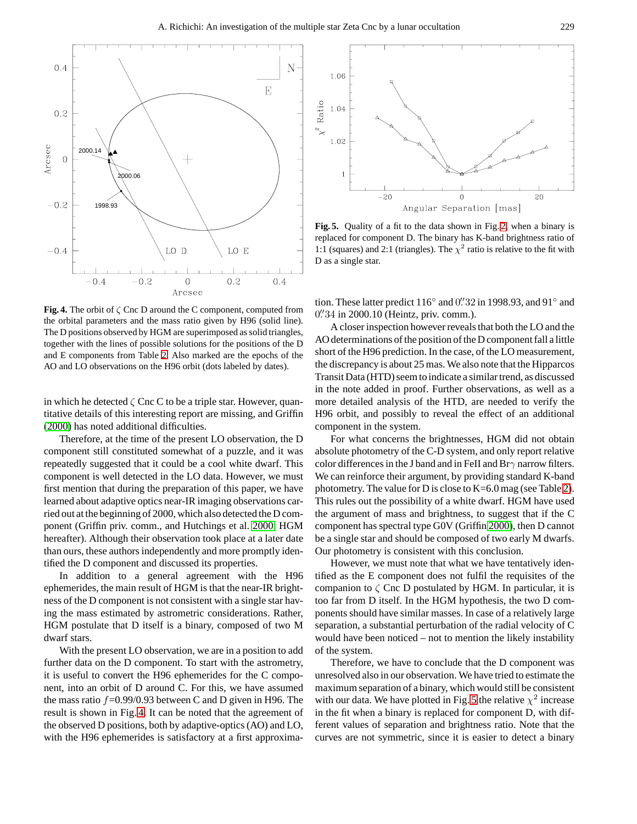<span id="page-4-0"></span>

**Fig. 4.** The orbit of  $\zeta$  Cnc D around the C component, computed from the orbital parameters and the mass ratio given by H96 (solid line). The D positions observed by HGM are superimposed as solid triangles, together with the lines of possible solutions for the positions of the D and E components from Table [2.](#page-3-0) Also marked are the epochs of the AO and LO observations on the H96 orbit (dots labeled by dates).

in which he detected  $\zeta$  Cnc C to be a triple star. However, quantitative details of this interesting report are missing, and Griffin [\(2000\)](#page-6-0) has noted additional difficulties.

Therefore, at the time of the present LO observation, the D component still constituted somewhat of a puzzle, and it was repeatedly suggested that it could be a cool white dwarf. This component is well detected in the LO data. However, we must first mention that during the preparation of this paper, we have learned about adaptive optics near-IR imaging observations carried out at the beginning of 2000, which also detected the D component (Griffin priv. comm., and Hutchings et al. [2000,](#page-6-0) HGM hereafter). Although their observation took place at a later date than ours, these authors independently and more promptly identified the D component and discussed its properties.

In addition to a general agreement with the H96 ephemerides, the main result of HGM is that the near-IR brightness of the D component is not consistent with a single star having the mass estimated by astrometric considerations. Rather, HGM postulate that D itself is a binary, composed of two M dwarf stars.

With the present LO observation, we are in a position to add further data on the D component. To start with the astrometry, it is useful to convert the H96 ephemerides for the C component, into an orbit of D around C. For this, we have assumed the mass ratio  $f=0.99/0.93$  between C and D given in H96. The result is shown in Fig. 4. It can be noted that the agreement of the observed D positions, both by adaptive-optics (AO) and LO, with the H96 ephemerides is satisfactory at a first approxima-



**Fig. 5.** Quality of a fit to the data shown in Fig. [2,](#page-2-0) when a binary is replaced for component D. The binary has K-band brightness ratio of 1:1 (squares) and 2:1 (triangles). The  $\chi^2$  ratio is relative to the fit with D as a single star.

tion. These latter predict  $116^\circ$  and  $0\rlap{.}^{\prime\prime}32$  in 1998.93, and 91 $^\circ$  and 0. 34 in 2000.10 (Heintz, priv. comm.).

A closer inspection however reveals that both the LO and the AO determinations of the position of the D component fall a little short of the H96 prediction. In the case, of the LO measurement, the discrepancy is about 25 mas. We also note that the Hipparcos Transit Data (HTD) seem to indicate a similar trend, as discussed in the note added in proof. Further observations, as well as a more detailed analysis of the HTD, are needed to verify the H96 orbit, and possibly to reveal the effect of an additional component in the system.

For what concerns the brightnesses, HGM did not obtain absolute photometry of the C-D system, and only report relative color differences in the J band and in FeII and Br $\gamma$  narrow filters. We can reinforce their argument, by providing standard K-band photometry. The value for D is close to K=6.0 mag (see Table [2\)](#page-3-0). This rules out the possibility of a white dwarf. HGM have used the argument of mass and brightness, to suggest that if the C component has spectral type G0V (Griffin [2000\)](#page-6-0), then D cannot be a single star and should be composed of two early M dwarfs. Our photometry is consistent with this conclusion.

However, we must note that what we have tentatively identified as the E component does not fulfil the requisites of the companion to  $\zeta$  Cnc D postulated by HGM. In particular, it is too far from D itself. In the HGM hypothesis, the two D components should have similar masses. In case of a relatively large separation, a substantial perturbation of the radial velocity of C would have been noticed – not to mention the likely instability of the system.

Therefore, we have to conclude that the D component was unresolved also in our observation. We have tried to estimate the maximum separation of a binary, which would still be consistent with our data. We have plotted in Fig. 5 the relative  $\chi^2$  increase in the fit when a binary is replaced for component D, with different values of separation and brightness ratio. Note that the curves are not symmetric, since it is easier to detect a binary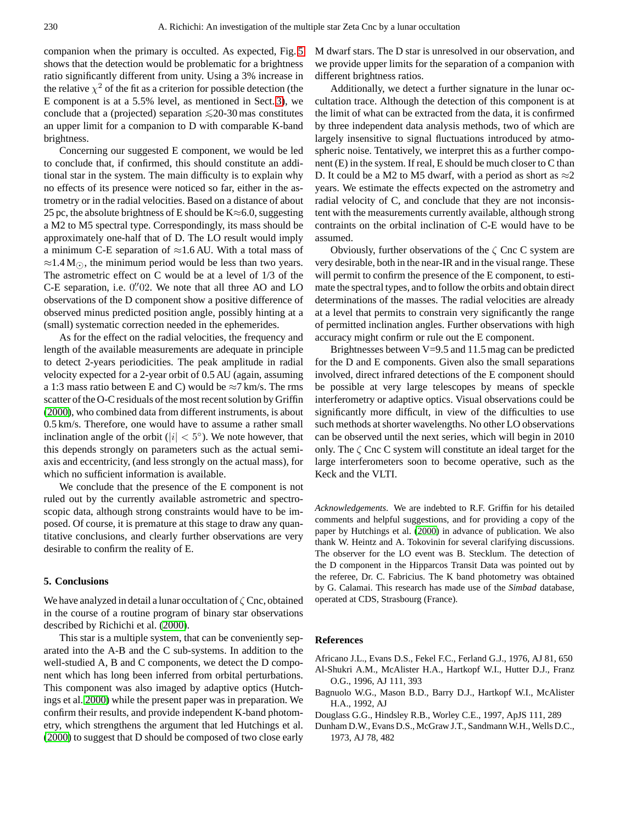<span id="page-5-0"></span>companion when the primary is occulted. As expected, Fig. [5](#page-4-0) shows that the detection would be problematic for a brightness ratio significantly different from unity. Using a 3% increase in the relative  $\chi^2$  of the fit as a criterion for possible detection (the E component is at a 5.5% level, as mentioned in Sect. [3\)](#page-1-0), we conclude that a (projected) separation  $\leq 20-30$  mas constitutes an upper limit for a companion to D with comparable K-band brightness.

Concerning our suggested E component, we would be led to conclude that, if confirmed, this should constitute an additional star in the system. The main difficulty is to explain why no effects of its presence were noticed so far, either in the astrometry or in the radial velocities. Based on a distance of about 25 pc, the absolute brightness of E should be  $K \approx 6.0$ , suggesting a M2 to M5 spectral type. Correspondingly, its mass should be approximately one-half that of D. The LO result would imply a minimum C-E separation of  $\approx$  1.6 AU. With a total mass of  $\approx$ 1.4 M<sub> $\odot$ </sub>, the minimum period would be less than two years. The astrometric effect on C would be at a level of 1/3 of the C-E separation, i.e. 0" 02. We note that all three AO and LO observations of the D component show a positive difference of observed minus predicted position angle, possibly hinting at a (small) systematic correction needed in the ephemerides.

As for the effect on the radial velocities, the frequency and length of the available measurements are adequate in principle to detect 2-years periodicities. The peak amplitude in radial velocity expected for a 2-year orbit of 0.5 AU (again, assuming a 1:3 mass ratio between E and C) would be  $\approx$ 7 km/s. The rms scatter of the O-C residuals of the most recent solution by Griffin [\(2000\)](#page-6-0), who combined data from different instruments, is about 0.5 km/s. Therefore, one would have to assume a rather small inclination angle of the orbit ( $|i| < 5^{\circ}$ ). We note however, that this depends strongly on parameters such as the actual semiaxis and eccentricity, (and less strongly on the actual mass), for which no sufficient information is available.

We conclude that the presence of the E component is not ruled out by the currently available astrometric and spectroscopic data, although strong constraints would have to be imposed. Of course, it is premature at this stage to draw any quantitative conclusions, and clearly further observations are very desirable to confirm the reality of E.

## **5. Conclusions**

We have analyzed in detail a lunar occultation of  $\zeta$  Cnc, obtained in the course of a routine program of binary star observations described by Richichi et al. [\(2000\)](#page-6-0).

This star is a multiple system, that can be conveniently separated into the A-B and the C sub-systems. In addition to the well-studied A, B and C components, we detect the D component which has long been inferred from orbital perturbations. This component was also imaged by adaptive optics (Hutchings et al. [2000\)](#page-6-0) while the present paper was in preparation. We confirm their results, and provide independent K-band photometry, which strengthens the argument that led Hutchings et al. [\(2000\)](#page-6-0) to suggest that D should be composed of two close early

M dwarf stars. The D star is unresolved in our observation, and we provide upper limits for the separation of a companion with different brightness ratios.

Additionally, we detect a further signature in the lunar occultation trace. Although the detection of this component is at the limit of what can be extracted from the data, it is confirmed by three independent data analysis methods, two of which are largely insensitive to signal fluctuations introduced by atmospheric noise. Tentatively, we interpret this as a further component (E) in the system. If real, E should be much closer to C than D. It could be a M2 to M5 dwarf, with a period as short as  $\approx$ 2 years. We estimate the effects expected on the astrometry and radial velocity of C, and conclude that they are not inconsistent with the measurements currently available, although strong contraints on the orbital inclination of C-E would have to be assumed.

Obviously, further observations of the  $\zeta$  Cnc C system are very desirable, both in the near-IR and in the visual range. These will permit to confirm the presence of the E component, to estimate the spectral types, and to follow the orbits and obtain direct determinations of the masses. The radial velocities are already at a level that permits to constrain very significantly the range of permitted inclination angles. Further observations with high accuracy might confirm or rule out the E component.

Brightnesses between V=9.5 and 11.5 mag can be predicted for the D and E components. Given also the small separations involved, direct infrared detections of the E component should be possible at very large telescopes by means of speckle interferometry or adaptive optics. Visual observations could be significantly more difficult, in view of the difficulties to use such methods at shorter wavelengths. No other LO observations can be observed until the next series, which will begin in 2010 only. The  $\zeta$  Cnc C system will constitute an ideal target for the large interferometers soon to become operative, such as the Keck and the VLTI.

*Acknowledgements.* We are indebted to R.F. Griffin for his detailed comments and helpful suggestions, and for providing a copy of the paper by Hutchings et al. [\(2000\)](#page-6-0) in advance of publication. We also thank W. Heintz and A. Tokovinin for several clarifying discussions. The observer for the LO event was B. Stecklum. The detection of the D component in the Hipparcos Transit Data was pointed out by the referee, Dr. C. Fabricius. The K band photometry was obtained by G. Calamai. This research has made use of the *Simbad* database, operated at CDS, Strasbourg (France).

#### **References**

- Africano J.L., Evans D.S., Fekel F.C., Ferland G.J., 1976, AJ 81, 650 Al-Shukri A.M., McAlister H.A., Hartkopf W.I., Hutter D.J., Franz O.G., 1996, AJ 111, 393
- Bagnuolo W.G., Mason B.D., Barry D.J., Hartkopf W.I., McAlister H.A., 1992, AJ
- Douglass G.G., Hindsley R.B., Worley C.E., 1997, ApJS 111, 289
- Dunham D.W., Evans D.S., McGraw J.T., Sandmann W.H., Wells D.C., 1973, AJ 78, 482